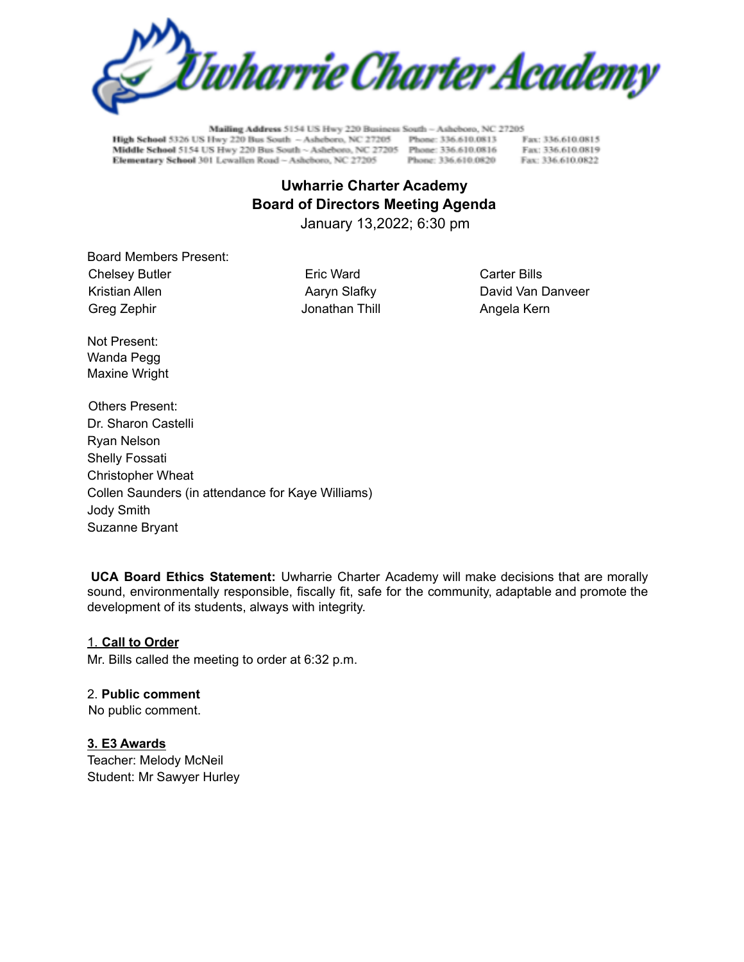

Mailing Address 5154 US Hwy 220 Business South - Asheboro, NC 27205 High School 5326 US Hwy 220 Bus South ~ Ashebero, NC 27205 Phone: 336.610.0813 Middle School 5154 US Hwy 220 Bus South ~ Asheboro, NC 27205 Phone: 336.610.0816 Elementary School 301 Lewallen Road - Asheboro, NC 27205

Phone: 336,610.0820

Fax: 336.610.0815 Fax: 336.610.0819 Fax: 336.610.0822

# **Uwharrie Charter Academy Board of Directors Meeting Agenda**

January 13,2022; 6:30 pm

Board Members Present: Chelsey Butler **Eric Ward** Eric Ward Carter Bills Kristian Allen **Acker Access Agency Slafky** And David Van Danveer Greg Zephir Jonathan Thill Angela Kern

Not Present: Wanda Pegg Maxine Wright

Others Present: Dr. Sharon Castelli Ryan Nelson Shelly Fossati Christopher Wheat Collen Saunders (in attendance for Kaye Williams) Jody Smith Suzanne Bryant

**UCA Board Ethics Statement:** Uwharrie Charter Academy will make decisions that are morally sound, environmentally responsible, fiscally fit, safe for the community, adaptable and promote the development of its students, always with integrity.

# 1. **Call to Order**

Mr. Bills called the meeting to order at 6:32 p.m.

## 2. **Public comment**

No public comment.

# **3. E3 Awards**

Teacher: Melody McNeil Student: Mr Sawyer Hurley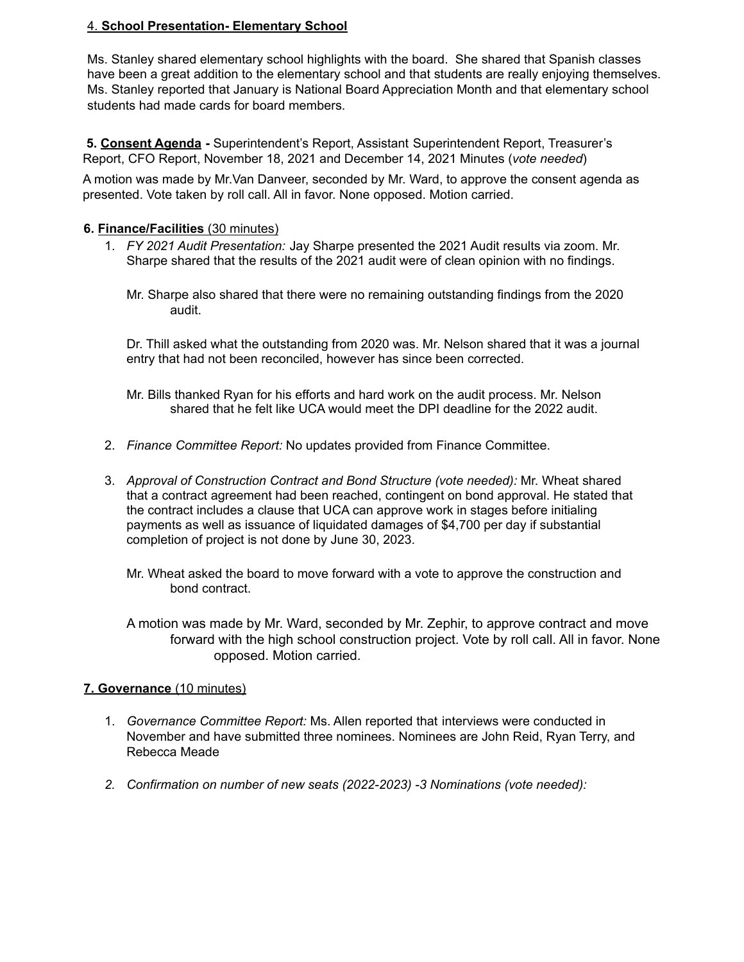# 4. **School Presentation- Elementary School**

Ms. Stanley shared elementary school highlights with the board. She shared that Spanish classes have been a great addition to the elementary school and that students are really enjoying themselves. Ms. Stanley reported that January is National Board Appreciation Month and that elementary school students had made cards for board members.

**5. Consent Agenda -** Superintendent's Report, Assistant Superintendent Report, Treasurer's Report, CFO Report, November 18, 2021 and December 14, 2021 Minutes (*vote needed*)

A motion was made by Mr.Van Danveer, seconded by Mr. Ward, to approve the consent agenda as presented. Vote taken by roll call. All in favor. None opposed. Motion carried.

#### **6. Finance/Facilities** (30 minutes)

- 1. *FY 2021 Audit Presentation:* Jay Sharpe presented the 2021 Audit results via zoom. Mr. Sharpe shared that the results of the 2021 audit were of clean opinion with no findings.
	- Mr. Sharpe also shared that there were no remaining outstanding findings from the 2020 audit.

Dr. Thill asked what the outstanding from 2020 was. Mr. Nelson shared that it was a journal entry that had not been reconciled, however has since been corrected.

- Mr. Bills thanked Ryan for his efforts and hard work on the audit process. Mr. Nelson shared that he felt like UCA would meet the DPI deadline for the 2022 audit.
- 2. *Finance Committee Report:* No updates provided from Finance Committee.
- 3. *Approval of Construction Contract and Bond Structure (vote needed):* Mr. Wheat shared that a contract agreement had been reached, contingent on bond approval. He stated that the contract includes a clause that UCA can approve work in stages before initialing payments as well as issuance of liquidated damages of \$4,700 per day if substantial completion of project is not done by June 30, 2023.
	- Mr. Wheat asked the board to move forward with a vote to approve the construction and bond contract.

A motion was made by Mr. Ward, seconded by Mr. Zephir, to approve contract and move forward with the high school construction project. Vote by roll call. All in favor. None opposed. Motion carried.

## **7. Governance** (10 minutes)

- 1. *Governance Committee Report:* Ms. Allen reported that interviews were conducted in November and have submitted three nominees. Nominees are John Reid, Ryan Terry, and Rebecca Meade
- *2. Confirmation on number of new seats (2022-2023) -3 Nominations (vote needed):*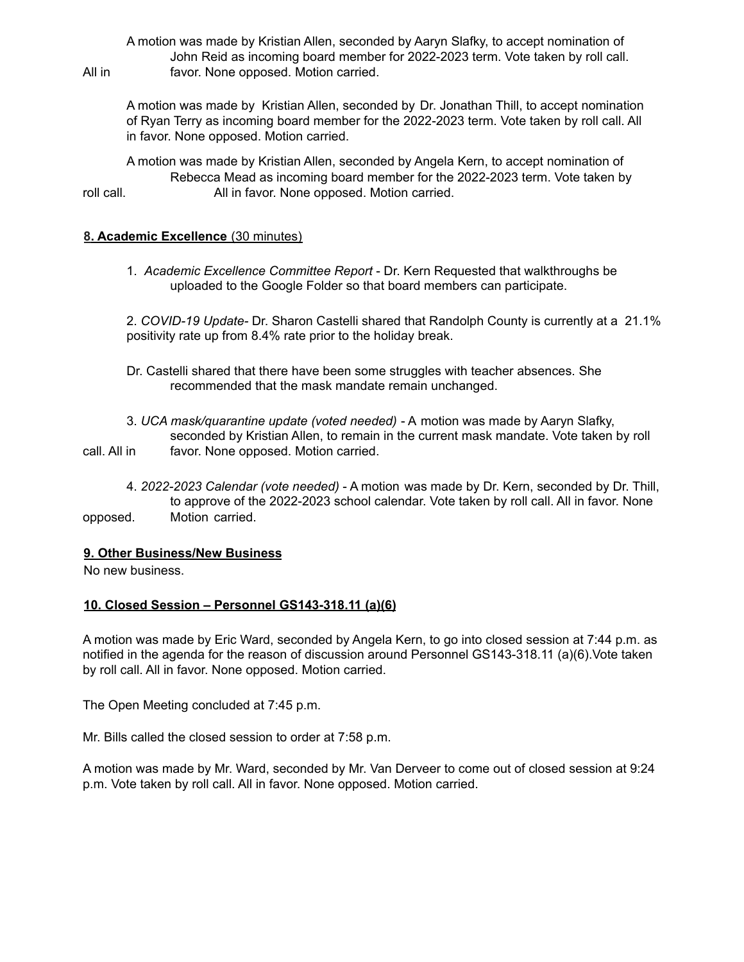A motion was made by Kristian Allen, seconded by Aaryn Slafky, to accept nomination of John Reid as incoming board member for 2022-2023 term. Vote taken by roll call. All in favor. None opposed. Motion carried.

A motion was made by Kristian Allen, seconded by Dr. Jonathan Thill, to accept nomination of Ryan Terry as incoming board member for the 2022-2023 term. Vote taken by roll call. All in favor. None opposed. Motion carried.

A motion was made by Kristian Allen, seconded by Angela Kern, to accept nomination of Rebecca Mead as incoming board member for the 2022-2023 term. Vote taken by roll call. **All in favor.** None opposed. Motion carried.

#### **8. Academic Excellence** (30 minutes)

1. *Academic Excellence Committee Report* - Dr. Kern Requested that walkthroughs be uploaded to the Google Folder so that board members can participate.

2. *COVID-19 Update-* Dr. Sharon Castelli shared that Randolph County is currently at a 21.1% positivity rate up from 8.4% rate prior to the holiday break.

- Dr. Castelli shared that there have been some struggles with teacher absences. She recommended that the mask mandate remain unchanged.
- 3. *UCA mask/quarantine update (voted needed)* A motion was made by Aaryn Slafky, seconded by Kristian Allen, to remain in the current mask mandate. Vote taken by roll call. All in favor. None opposed. Motion carried.
- 
- 4. *2022-2023 Calendar (vote needed)* A motion was made by Dr. Kern, seconded by Dr. Thill, to approve of the 2022-2023 school calendar. Vote taken by roll call. All in favor. None opposed. Motion carried.

#### **9. Other Business/New Business**

No new business.

## **10. Closed Session – Personnel GS143-318.11 (a)(6)**

A motion was made by Eric Ward, seconded by Angela Kern, to go into closed session at 7:44 p.m. as notified in the agenda for the reason of discussion around Personnel GS143-318.11 (a)(6).Vote taken by roll call. All in favor. None opposed. Motion carried.

The Open Meeting concluded at 7:45 p.m.

Mr. Bills called the closed session to order at 7:58 p.m.

A motion was made by Mr. Ward, seconded by Mr. Van Derveer to come out of closed session at 9:24 p.m. Vote taken by roll call. All in favor. None opposed. Motion carried.